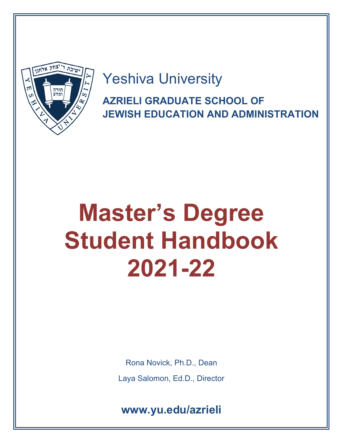

Yeshiva University **AZRIELI GRADUATE SCHOOL OF** 

**JEWISH EDUCATION AND ADMINISTRATION**

# **Master's Degree Student Handbook 2021-22**

Rona Novick, Ph.D., Dean Laya Salomon, Ed.D., Director

**www.yu.edu/azrieli**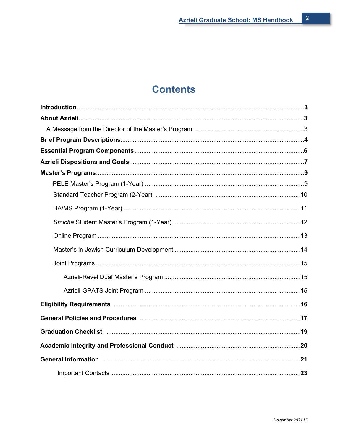# **Contents**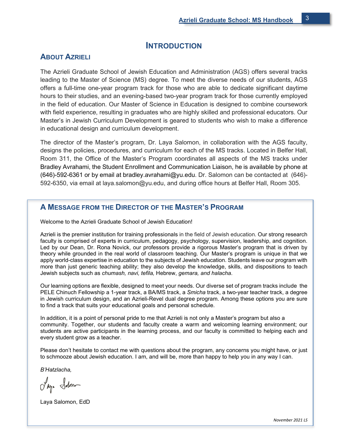## **INTRODUCTION**

## **ABOUT AZRIELI**

The Azrieli Graduate School of Jewish Education and Administration (AGS) offers several tracks leading to the Master of Science (MS) degree. To meet the diverse needs of our students, AGS offers a full-time one-year program track for those who are able to dedicate significant daytime hours to their studies, and an evening-based two-year program track for those currently employed in the field of education. Our Master of Science in Education is designed to combine coursework with field experience, resulting in graduates who are highly skilled and professional educators. Our Master's in Jewish Curriculum Development is geared to students who wish to make a difference in educational design and curriculum development.

The director of the Master's program, Dr. Laya Salomon, in collaboration with the AGS faculty, designs the policies, procedures, and curriculum for each of the MS tracks. Located in Belfer Hall, Room 311, the Office of the Master's Program coordinates all aspects of the MS tracks under Bradley Avrahami, the Student Enrollment and Communication Liaison, he is available by phone at (646)-592-6361 or by email at bradley.avrahami@yu.edu. Dr. Salomon can be contacted at (646)- 592-6350, via email at laya.salomon@yu.edu, and during office hours at Belfer Hall, Room 305.

## **A MESSAGE FROM THE DIRECTOR OF THE MASTER'S PROGRAM**

Welcome to the Azrieli Graduate School of Jewish Education!

Azrieli is the premier institution for training professionals in the field of Jewish education. Our strong research faculty is comprised of experts in curriculum, pedagogy, psychology, supervision, leadership, and cognition. Led by our Dean, Dr. Rona Novick, our professors provide a rigorous Master's program that is driven by theory while grounded in the real world of classroom teaching. Our Master's program is unique in that we apply world-class expertise in education to the subjects of Jewish education. Students leave our program with more than just generic teaching ability; they also develop the knowledge, skills, and dispositions to teach Jewish subjects such as *chumash, navi, tefila,* Hebrew, *gemara, and halacha*.

Our learning options are flexible, designed to meet your needs. Our diverse set of program tracks include the PELE Chinuch Fellowship a 1-year track, a BA/MS track, a *Smicha* track, a two-year teacher track, a degree in Jewish curriculum design, and an Azrieli-Revel dual degree program. Among these options you are sure to find a track that suits your educational goals and personal schedule.

In addition, it is a point of personal pride to me that Azrieli is not only a Master's program but also a community. Together, our students and faculty create a warm and welcoming learning environment; our students are active participants in the learning process, and our faculty is committed to helping each and every student grow as a teacher.

Please don't hesitate to contact me with questions about the program, any concerns you might have, or just to schmooze about Jewish education. I am, and will be, more than happy to help you in any way I can.

*B'Hatzlacha,*

Ing. Solon

Laya Salomon, EdD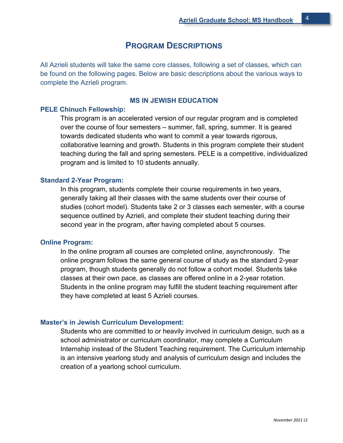## **PROGRAM DESCRIPTIONS**

All Azrieli students will take the same core classes, following a set of classes, which can be found on the following pages. Below are basic descriptions about the various ways to complete the Azrieli program.

#### **MS IN JEWISH EDUCATION**

#### **PELE Chinuch Fellowship:**

This program is an accelerated version of our regular program and is completed over the course of four semesters – summer, fall, spring, summer. It is geared towards dedicated students who want to commit a year towards rigorous, collaborative learning and growth. Students in this program complete their student teaching during the fall and spring semesters. PELE is a competitive, individualized program and is limited to 10 students annually.

#### **Standard 2-Year Program:**

In this program, students complete their course requirements in two years, generally taking all their classes with the same students over their course of studies (cohort model). Students take 2 or 3 classes each semester, with a course sequence outlined by Azrieli, and complete their student teaching during their second year in the program, after having completed about 5 courses.

#### **Online Program:**

In the online program all courses are completed online, asynchronously. The online program follows the same general course of study as the standard 2-year program, though students generally do not follow a cohort model. Students take classes at their own pace, as classes are offered online in a 2-year rotation. Students in the online program may fulfill the student teaching requirement after they have completed at least 5 Azrieli courses.

#### **Master's in Jewish Curriculum Development:**

Students who are committed to or heavily involved in curriculum design, such as a school administrator or curriculum coordinator, may complete a Curriculum Internship instead of the Student Teaching requirement. The Curriculum internship is an intensive yearlong study and analysis of curriculum design and includes the creation of a yearlong school curriculum.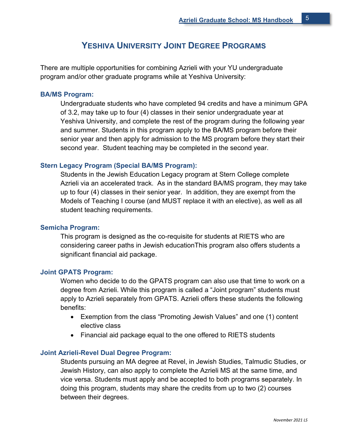## **YESHIVA UNIVERSITY JOINT DEGREE PROGRAMS**

There are multiple opportunities for combining Azrieli with your YU undergraduate program and/or other graduate programs while at Yeshiva University:

#### **BA/MS Program:**

Undergraduate students who have completed 94 credits and have a minimum GPA of 3.2, may take up to four (4) classes in their senior undergraduate year at Yeshiva University, and complete the rest of the program during the following year and summer. Students in this program apply to the BA/MS program before their senior year and then apply for admission to the MS program before they start their second year. Student teaching may be completed in the second year.

#### **Stern Legacy Program (Special BA/MS Program):**

Students in the Jewish Education Legacy program at Stern College complete Azrieli via an accelerated track. As in the standard BA/MS program, they may take up to four (4) classes in their senior year. In addition, they are exempt from the Models of Teaching I course (and MUST replace it with an elective), as well as all student teaching requirements.

#### **Semicha Program:**

This program is designed as the co-requisite for students at RIETS who are considering career paths in Jewish educationThis program also offers students a significant financial aid package.

#### **Joint GPATS Program:**

Women who decide to do the GPATS program can also use that time to work on a degree from Azrieli. While this program is called a "Joint program" students must apply to Azrieli separately from GPATS. Azrieli offers these students the following benefits:

- Exemption from the class "Promoting Jewish Values" and one (1) content elective class
- Financial aid package equal to the one offered to RIETS students

#### **Joint Azrieli-Revel Dual Degree Program:**

Students pursuing an MA degree at Revel, in Jewish Studies, Talmudic Studies, or Jewish History, can also apply to complete the Azrieli MS at the same time, and vice versa. Students must apply and be accepted to both programs separately. In doing this program, students may share the credits from up to two (2) courses between their degrees.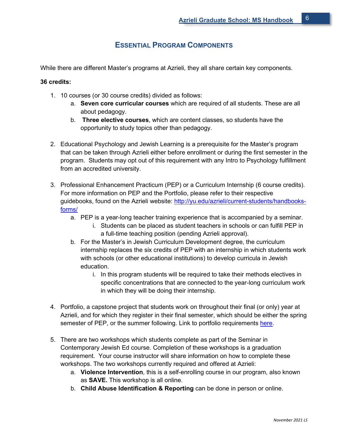## **ESSENTIAL PROGRAM COMPONENTS**

While there are different Master's programs at Azrieli, they all share certain key components.

#### **36 credits:**

- 1. 10 courses (or 30 course credits) divided as follows:
	- a. **Seven core curricular courses** which are required of all students. These are all about pedagogy.
	- b. **Three elective courses**, which are content classes, so students have the opportunity to study topics other than pedagogy.
- 2. Educational Psychology and Jewish Learning is a prerequisite for the Master's program that can be taken through Azrieli either before enrollment or during the first semester in the program. Students may opt out of this requirement with any Intro to Psychology fulfillment from an accredited university.
- 3. Professional Enhancement Practicum (PEP) or a Curriculum Internship (6 course credits). For more information on PEP and the Portfolio, please refer to their respective guidebooks, found on the Azrieli website: [http://yu.edu/azrieli/current-students/handbooks](http://yu.edu/azrieli/current-students/handbooks-forms/)[forms/](http://yu.edu/azrieli/current-students/handbooks-forms/)
	- a. PEP is a year-long teacher training experience that is accompanied by a seminar.
		- i. Students can be placed as student teachers in schools or can fulfill PEP in a full-time teaching position (pending Azrieli approval).
	- b. For the Master's in Jewish Curriculum Development degree, the curriculum internship replaces the six credits of PEP with an internship in which students work with schools (or other educational institutions) to develop curricula in Jewish education.
		- i. In this program students will be required to take their methods electives in specific concentrations that are connected to the year-long curriculum work in which they will be doing their internship.
- 4. Portfolio, a capstone project that students work on throughout their final (or only) year at Azrieli, and for which they register in their final semester, which should be either the spring semester of PEP, or the summer following. Link to portfolio requirements [here.](https://www.yu.edu/sites/default/files/inline-files/HANDBOOK%20Professional%20Portfolio%205.19.pdf)
- 5. There are two workshops which students complete as part of the Seminar in Contemporary Jewish Ed course. Completion of these workshops is a graduation requirement. Your course instructor will share information on how to complete these workshops. The two workshops currently required and offered at Azrieli:
	- a. **Violence Intervention**, this is a self-enrolling course in our program, also known as **SAVE.** This workshop is all online.
	- b. **Child Abuse Identification & Reporting** can be done in person or online.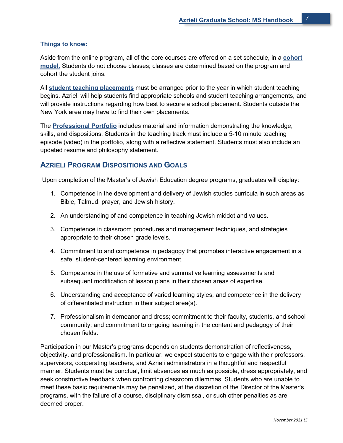#### **Things to know:**

Aside from the online program, all of the core courses are offered on a set schedule, in a **cohort model.** Students do not choose classes; classes are determined based on the program and cohort the student joins.

All **student teaching placements** must be arranged prior to the year in which student teaching begins. Azrieli will help students find appropriate schools and student teaching arrangements, and will provide instructions regarding how best to secure a school placement. Students outside the New York area may have to find their own placements.

The **Professional Portfolio** includes material and information demonstrating the knowledge, skills, and dispositions. Students in the teaching track must include a 5-10 minute teaching episode (video) in the portfolio, along with a reflective statement. Students must also include an updated resume and philosophy statement.

## **AZRIELI PROGRAM DISPOSITIONS AND GOALS**

Upon completion of the Master's of Jewish Education degree programs, graduates will display:

- 1. Competence in the development and delivery of Jewish studies curricula in such areas as Bible, Talmud, prayer, and Jewish history.
- 2. An understanding of and competence in teaching Jewish middot and values.
- 3. Competence in classroom procedures and management techniques, and strategies appropriate to their chosen grade levels.
- 4. Commitment to and competence in pedagogy that promotes interactive engagement in a safe, student-centered learning environment.
- 5. Competence in the use of formative and summative learning assessments and subsequent modification of lesson plans in their chosen areas of expertise.
- 6. Understanding and acceptance of varied learning styles, and competence in the delivery of differentiated instruction in their subject area(s).
- 7. Professionalism in demeanor and dress; commitment to their faculty, students, and school community; and commitment to ongoing learning in the content and pedagogy of their chosen fields.

Participation in our Master's programs depends on students demonstration of reflectiveness, objectivity, and professionalism. In particular, we expect students to engage with their professors, supervisors, cooperating teachers, and Azrieli administrators in a thoughtful and respectful manner. Students must be punctual, limit absences as much as possible, dress appropriately, and seek constructive feedback when confronting classroom dilemmas. Students who are unable to meet these basic requirements may be penalized, at the discretion of the Director of the Master's programs, with the failure of a course, disciplinary dismissal, or such other penalties as are deemed proper.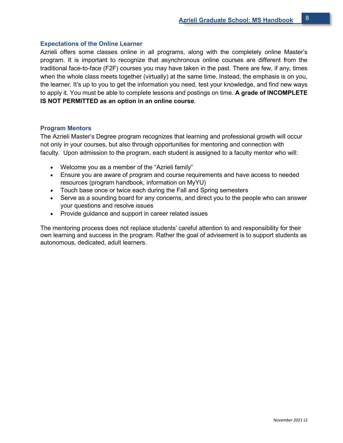#### **Expectations of the Online Learner**

Azrieli offers some classes online in all programs, along with the completely online Master's program. It is important to recognize that asynchronous online courses are different from the traditional face-to-face (F2F) courses you may have taken in the past. There are few, if any, times when the whole class meets together (virtually) at the same time. Instead, the emphasis is on you, the learner. It's up to you to get the information you need, test your knowledge, and find new ways to apply it. You must be able to complete lessons and postings on time. **A grade of INCOMPLETE IS NOT PERMITTED as an option in an online course**.

#### **Program Mentors**

The Azrieli Master's Degree program recognizes that learning and professional growth will occur not only in your courses, but also through opportunities for mentoring and connection with faculty. Upon admission to the program, each student is assigned to a faculty mentor who will:

- Welcome you as a member of the "Azrieli family"
- Ensure you are aware of program and course requirements and have access to needed resources (program handbook, information on MyYU)
- Touch base once or twice each during the Fall and Spring semesters
- Serve as a sounding board for any concerns, and direct you to the people who can answer your questions and resolve issues
- Provide guidance and support in career related issues

The mentoring process does not replace students' careful attention to and responsibility for their own learning and success in the program. Rather the goal of advisement is to support students as autonomous, dedicated, adult learners.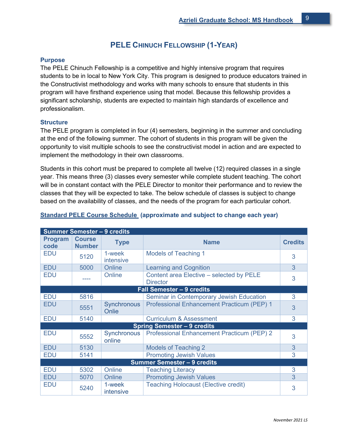## **PELE CHINUCH FELLOWSHIP (1-YEAR)**

#### **Purpose**

The PELE Chinuch Fellowship is a competitive and highly intensive program that requires students to be in local to New York City. This program is designed to produce educators trained in the Constructivist methodology and works with many schools to ensure that students in this program will have firsthand experience using that model. Because this fellowship provides a significant scholarship, students are expected to maintain high standards of excellence and professionalism.

#### **Structure**

The PELE program is completed in four (4) semesters, beginning in the summer and concluding at the end of the following summer. The cohort of students in this program will be given the opportunity to visit multiple schools to see the constructivist model in action and are expected to implement the methodology in their own classrooms.

Students in this cohort must be prepared to complete all twelve (12) required classes in a single year. This means three (3) classes every semester while complete student teaching. The cohort will be in constant contact with the PELE Director to monitor their performance and to review the classes that they will be expected to take. The below schedule of classes is subject to change based on the availability of classes, and the needs of the program for each particular cohort.

| <b>Summer Semester - 9 credits</b> |                                |                            |                                                             |                |  |  |
|------------------------------------|--------------------------------|----------------------------|-------------------------------------------------------------|----------------|--|--|
| <b>Program</b><br>code             | <b>Course</b><br><b>Number</b> | <b>Type</b>                | <b>Name</b>                                                 | <b>Credits</b> |  |  |
| <b>EDU</b>                         | 5120                           | 1-week<br><i>intensive</i> | <b>Models of Teaching 1</b>                                 | 3              |  |  |
| <b>EDU</b>                         | 5000                           | Online                     | <b>Learning and Cognition</b>                               | 3              |  |  |
| <b>EDU</b>                         |                                | Online                     | Content area Elective - selected by PELE<br><b>Director</b> | 3              |  |  |
|                                    |                                |                            | <b>Fall Semester - 9 credits</b>                            |                |  |  |
| <b>EDU</b>                         | 5816                           |                            | <b>Seminar in Contemporary Jewish Education</b>             | 3              |  |  |
| <b>EDU</b>                         | 5551                           | Synchronous<br>Onlie       | Professional Enhancement Practicum (PEP) 1                  | 3              |  |  |
| <b>EDU</b>                         | 5140                           |                            | <b>Curriculum &amp; Assessment</b>                          | 3              |  |  |
|                                    |                                |                            | <b>Spring Semester - 9 credits</b>                          |                |  |  |
| <b>EDU</b>                         | 5552                           | Synchronous<br>online      | Professional Enhancement Practicum (PEP) 2                  | 3              |  |  |
| <b>EDU</b>                         | 5130                           |                            | <b>Models of Teaching 2</b>                                 | 3              |  |  |
| <b>EDU</b>                         | 5141                           |                            | <b>Promoting Jewish Values</b>                              | 3              |  |  |
| <b>Summer Semester - 9 credits</b> |                                |                            |                                                             |                |  |  |
| <b>EDU</b>                         | 5302                           | Online                     | <b>Teaching Literacy</b>                                    | 3              |  |  |
| <b>EDU</b>                         | 5070                           | Online                     | <b>Promoting Jewish Values</b>                              | 3              |  |  |
| <b>EDU</b>                         | 5240                           | 1-week<br>intensive        | <b>Teaching Holocaust (Elective credit)</b>                 | 3              |  |  |

#### **Standard PELE Course Schedule (approximate and subject to change each year)**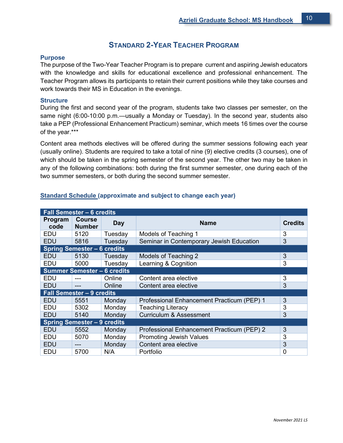## **STANDARD 2-YEAR TEACHER PROGRAM**

#### **Purpose**

The purpose of the Two-Year Teacher Program is to prepare current and aspiring Jewish educators with the knowledge and skills for educational excellence and professional enhancement. The Teacher Program allows its participants to retain their current positions while they take courses and work towards their MS in Education in the evenings.

#### **Structure**

During the first and second year of the program, students take two classes per semester, on the same night (6:00-10:00 p.m.—usually a Monday or Tuesday). In the second year, students also take a PEP (Professional Enhancement Practicum) seminar, which meets 16 times over the course of the year.\*\*\*

Content area methods electives will be offered during the summer sessions following each year (usually online). Students are required to take a total of nine (9) elective credits (3 courses), one of which should be taken in the spring semester of the second year. The other two may be taken in any of the following combinations: both during the first summer semester, one during each of the two summer semesters, or both during the second summer semester.

| <b>Fall Semester - 6 credits</b>   |                                    |         |                                            |                |  |  |
|------------------------------------|------------------------------------|---------|--------------------------------------------|----------------|--|--|
| Program<br>code                    | <b>Course</b><br><b>Number</b>     | Day     | <b>Name</b>                                | <b>Credits</b> |  |  |
| EDU                                | 5120                               | Tuesday | Models of Teaching 1                       | 3              |  |  |
| <b>EDU</b>                         | 5816                               | Tuesday | Seminar in Contemporary Jewish Education   | 3              |  |  |
|                                    | <b>Spring Semester - 6 credits</b> |         |                                            |                |  |  |
| EDU                                | 5130                               | Tuesday | Models of Teaching 2                       | 3              |  |  |
| <b>EDU</b>                         | 5000                               | Tuesday | Learning & Cognition                       | 3              |  |  |
|                                    | Summer Semester - 6 credits        |         |                                            |                |  |  |
| <b>EDU</b>                         |                                    | Online  | Content area elective                      | 3              |  |  |
| <b>EDU</b>                         |                                    | Online  | Content area elective                      | 3              |  |  |
|                                    | <b>Fall Semester - 9 credits</b>   |         |                                            |                |  |  |
| <b>EDU</b>                         | 5551                               | Monday  | Professional Enhancement Practicum (PEP) 1 | 3              |  |  |
| <b>EDU</b>                         | 5302                               | Monday  | <b>Teaching Literacy</b>                   | 3              |  |  |
| <b>EDU</b>                         | 5140                               | Monday  | <b>Curriculum &amp; Assessment</b>         | 3              |  |  |
| <b>Spring Semester - 9 credits</b> |                                    |         |                                            |                |  |  |
| <b>EDU</b>                         | 5552                               | Monday  | Professional Enhancement Practicum (PEP) 2 | 3              |  |  |
| EDU                                | 5070                               | Monday  | <b>Promoting Jewish Values</b>             | 3              |  |  |
| <b>EDU</b>                         | ---                                | Monday  | Content area elective                      | 3              |  |  |
| EDU                                | 5700                               | N/A     | Portfolio                                  | $\overline{0}$ |  |  |

#### **Standard Schedule (approximate and subject to change each year)**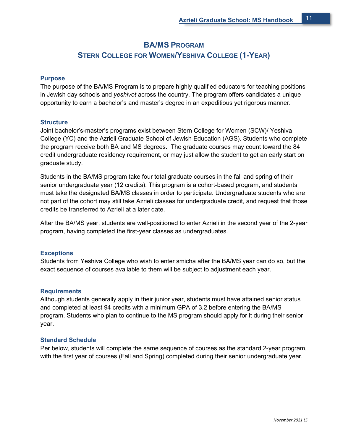## **BA/MS PROGRAM**

## **STERN COLLEGE FOR WOMEN/YESHIVA COLLEGE (1-YEAR)**

#### **Purpose**

The purpose of the BA/MS Program is to prepare highly qualified educators for teaching positions in Jewish day schools and *yeshivot* across the country. The program offers candidates a unique opportunity to earn a bachelor's and master's degree in an expeditious yet rigorous manner.

#### **Structure**

Joint bachelor's-master's programs exist between Stern College for Women (SCW)/ Yeshiva College (YC) and the Azrieli Graduate School of Jewish Education (AGS). Students who complete the program receive both BA and MS degrees. The graduate courses may count toward the 84 credit undergraduate residency requirement, or may just allow the student to get an early start on graduate study.

Students in the BA/MS program take four total graduate courses in the fall and spring of their senior undergraduate year (12 credits). This program is a cohort-based program, and students must take the designated BA/MS classes in order to participate. Undergraduate students who are not part of the cohort may still take Azrieli classes for undergraduate credit, and request that those credits be transferred to Azrieli at a later date.

After the BA/MS year, students are well-positioned to enter Azrieli in the second year of the 2-year program, having completed the first-year classes as undergraduates.

#### **Exceptions**

Students from Yeshiva College who wish to enter smicha after the BA/MS year can do so, but the exact sequence of courses available to them will be subject to adjustment each year.

#### **Requirements**

Although students generally apply in their junior year, students must have attained senior status and completed at least 94 credits with a minimum GPA of 3.2 before entering the BA/MS program. Students who plan to continue to the MS program should apply for it during their senior year.

#### **Standard Schedule**

Per below, students will complete the same sequence of courses as the standard 2-year program, with the first year of courses (Fall and Spring) completed during their senior undergraduate year.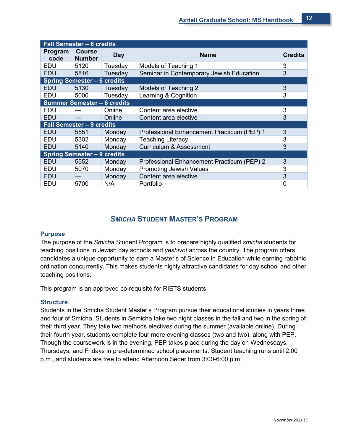| <b>Fall Semester - 6 credits</b> |                                    |            |                                            |                |  |  |
|----------------------------------|------------------------------------|------------|--------------------------------------------|----------------|--|--|
| Program<br>code                  | <b>Course</b><br><b>Number</b>     | <b>Day</b> | <b>Name</b>                                | <b>Credits</b> |  |  |
| <b>EDU</b>                       | 5120                               | Tuesday    | Models of Teaching 1                       | 3              |  |  |
| <b>EDU</b>                       | 5816                               | Tuesday    | Seminar in Contemporary Jewish Education   | 3              |  |  |
|                                  | <b>Spring Semester - 6 credits</b> |            |                                            |                |  |  |
| EDU                              | 5130                               | Tuesday    | Models of Teaching 2                       | 3              |  |  |
| <b>EDU</b>                       | 5000                               | Tuesday    | Learning & Cognition                       | 3              |  |  |
|                                  | <b>Summer Semester - 6 credits</b> |            |                                            |                |  |  |
| <b>EDU</b>                       |                                    | Online     | Content area elective                      | 3              |  |  |
| <b>EDU</b>                       | $- - -$                            | Online     | 3<br>Content area elective                 |                |  |  |
|                                  | <b>Fall Semester - 9 credits</b>   |            |                                            |                |  |  |
| <b>EDU</b>                       | 5551                               | Monday     | Professional Enhancement Practicum (PEP) 1 | 3              |  |  |
| <b>EDU</b>                       | 5302                               | Monday     | <b>Teaching Literacy</b>                   | 3              |  |  |
| <b>EDU</b>                       | 5140                               | Monday     | <b>Curriculum &amp; Assessment</b>         | 3              |  |  |
|                                  | <b>Spring Semester - 9 credits</b> |            |                                            |                |  |  |
| <b>EDU</b>                       | 5552                               | Monday     | Professional Enhancement Practicum (PEP) 2 | 3              |  |  |
| <b>EDU</b>                       | 5070                               | Monday     | <b>Promoting Jewish Values</b>             | 3              |  |  |
| <b>EDU</b>                       | ---                                | Monday     | Content area elective                      | 3              |  |  |
| EDU                              | 5700                               | N/A        | Portfolio                                  | 0              |  |  |

## *SMICHA* **STUDENT MASTER'S PROGRAM**

#### **Purpose**

The purpose of the *Smicha* Student Program is to prepare highly qualified *smicha* students for teaching positions in Jewish day schools and *yeshivot* across the country. The program offers candidates a unique opportunity to earn a Master's of Science in Education while earning rabbinic ordination concurrently. This makes students highly attractive candidates for day school and other teaching positions.

This program is an approved co-requisite for RIETS students.

#### **Structure**

Students in the Smicha Student Master's Program pursue their educational studies in years three and four of Smicha. Students in Semicha take two night classes in the fall and two in the spring of their third year. They take two methods electives during the summer (available online). During their fourth year, students complete four more evening classes (two and two), along with PEP. Though the coursework is in the evening, PEP takes place during the day on Wednesdays, Thursdays, and Fridays in pre-determined school placements. Student teaching runs until 2:00 p.m., and students are free to attend Afternoon Seder from 3:00-6:00 p.m.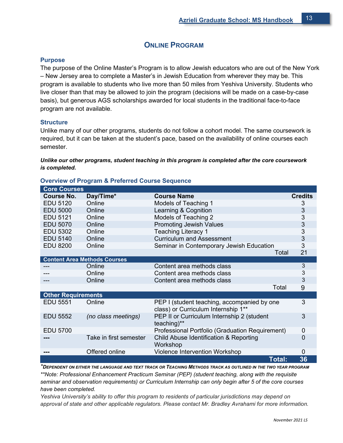## **ONLINE PROGRAM**

#### **Purpose**

The purpose of the Online Master's Program is to allow Jewish educators who are out of the New York – New Jersey area to complete a Master's in Jewish Education from wherever they may be. This program is available to students who live more than 50 miles from Yeshiva University. Students who live closer than that may be allowed to join the program (decisions will be made on a case-by-case basis), but generous AGS scholarships awarded for local students in the traditional face-to-face program are not available.

#### **Structure**

Unlike many of our other programs, students do not follow a cohort model. The same coursework is required, but it can be taken at the student's pace, based on the availability of online courses each semester.

*Unlike our other programs, student teaching in this program is completed after the core coursework is completed.*

| <b>Core Courses</b>       |                                     |                                                                                    |                |
|---------------------------|-------------------------------------|------------------------------------------------------------------------------------|----------------|
| <b>Course No.</b>         | Day/Time*                           | <b>Course Name</b>                                                                 | <b>Credits</b> |
| <b>EDU 5120</b>           | Online                              | Models of Teaching 1                                                               |                |
| <b>EDU 5000</b>           | Online                              | Learning & Cognition                                                               | 3              |
| EDU 5121                  | Online                              | Models of Teaching 2                                                               | 3              |
| <b>EDU 5070</b>           | Online                              | <b>Promoting Jewish Values</b>                                                     | 3              |
| <b>EDU 5302</b>           | Online                              | <b>Teaching Literacy 1</b>                                                         | 3              |
| <b>EDU 5140</b>           | Online                              | <b>Curriculum and Assessment</b>                                                   | 3              |
| <b>EDU 8200</b>           | Online                              | Seminar in Contemporary Jewish Education                                           | 3              |
|                           |                                     | Total                                                                              | 21             |
|                           | <b>Content Area Methods Courses</b> |                                                                                    |                |
|                           | Online                              | Content area methods class                                                         | 3              |
|                           | Online                              | Content area methods class                                                         | 3              |
|                           | Online                              | Content area methods class                                                         | 3              |
|                           |                                     | Total                                                                              | 9              |
| <b>Other Requirements</b> |                                     |                                                                                    |                |
| <b>EDU 5551</b>           | Online                              | PEP I (student teaching, accompanied by one<br>class) or Curriculum Internship 1** | 3              |
| <b>EDU 5552</b>           | (no class meetings)                 | PEP II or Curriculum Internship 2 (student<br>teaching)**                          | $\overline{3}$ |
| <b>EDU 5700</b>           |                                     | Professional Portfolio (Graduation Requirement)                                    | 0              |
|                           | Take in first semester              | Child Abuse Identification & Reporting<br>Workshop                                 | 0              |
|                           | Offered online                      | Violence Intervention Workshop                                                     | 0              |
|                           |                                     | Total:                                                                             | 36             |

#### **Overview of Program & Preferred Course Sequence**

*\*DEPENDENT ON EITHER THE LANGUAGE AND TEXT TRACK OR TEACHING METHODS TRACK AS OUTLINED IN THE TWO YEAR PROGRAM \*\*Note: Professional Enhancement Practicum Seminar (PEP) (student teaching, along with the requisite seminar and observation requirements) or Curriculum Internship can only begin after 5 of the core courses have been completed.*

*Yeshiva University's ability to offer this program to residents of particular jurisdictions may depend on approval of state and other applicable regulators. Please contact Mr. Bradley Avrahami for more information.*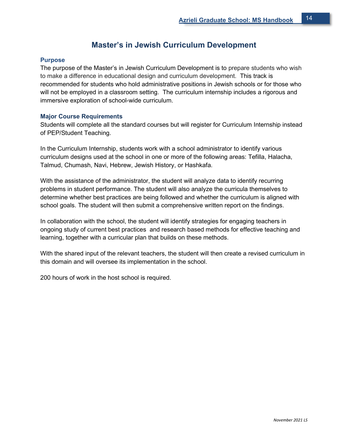## **Master's in Jewish Curriculum Development**

#### **Purpose**

The purpose of the Master's in Jewish Curriculum Development is to prepare students who wish to make a difference in educational design and curriculum development. This track is recommended for students who hold administrative positions in Jewish schools or for those who will not be employed in a classroom setting. The curriculum internship includes a rigorous and immersive exploration of school-wide curriculum.

#### **Major Course Requirements**

Students will complete all the standard courses but will register for Curriculum Internship instead of PEP/Student Teaching.

In the Curriculum Internship, students work with a school administrator to identify various curriculum designs used at the school in one or more of the following areas: Tefilla, Halacha, Talmud, Chumash, Navi, Hebrew, Jewish History, or Hashkafa.

With the assistance of the administrator, the student will analyze data to identify recurring problems in student performance. The student will also analyze the curricula themselves to determine whether best practices are being followed and whether the curriculum is aligned with school goals. The student will then submit a comprehensive written report on the findings.

In collaboration with the school, the student will identify strategies for engaging teachers in ongoing study of current best practices and research based methods for effective teaching and learning, together with a curricular plan that builds on these methods.

With the shared input of the relevant teachers, the student will then create a revised curriculum in this domain and will oversee its implementation in the school.

200 hours of work in the host school is required.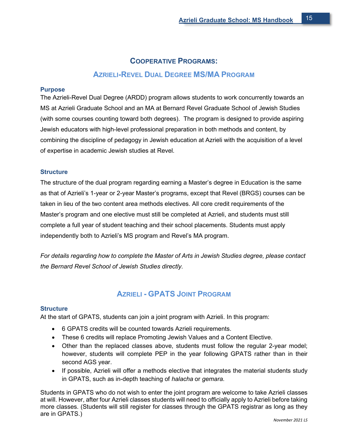# **COOPERATIVE PROGRAMS: AZRIELI-REVEL DUAL DEGREE MS/MA PROGRAM**

#### **Purpose**

The Azrieli-Revel Dual Degree (ARDD) program allows students to work concurrently towards an MS at Azrieli Graduate School and an MA at [Bernard Revel Graduate School of Jewish Studies](http://www.yu.edu/revel/master-science-master-arts/) (with some courses counting toward both degrees). The program is designed to provide aspiring Jewish educators with high-level professional preparation in both methods and content, by combining the discipline of pedagogy in Jewish education at Azrieli with the acquisition of a level of expertise in academic Jewish studies at Revel.

#### **Structure**

The structure of the dual program regarding earning a Master's degree in Education is the same as that of Azrieli's 1-year or 2-year Master's programs, except that Revel (BRGS) courses can be taken in lieu of the two content area methods electives. All core credit requirements of the Master's program and one elective must still be completed at Azrieli, and students must still complete a full year of student teaching and their school placements. Students must apply independently both to Azrieli's MS program and Revel's MA program.

*For details regarding how to complete the Master of Arts in Jewish Studies degree, please contact the Bernard Revel School of Jewish Studies directly.* 

## **AZRIELI - GPATS JOINT PROGRAM**

#### **Structure**

At the start of GPATS, students can join a joint program with Azrieli. In this program:

- 6 GPATS credits will be counted towards Azrieli requirements.
- These 6 credits will replace Promoting Jewish Values and a Content Elective.
- Other than the replaced classes above, students must follow the regular 2-year model; however, students will complete PEP in the year following GPATS rather than in their second AGS year.
- If possible, Azrieli will offer a methods elective that integrates the material students study in GPATS, such as in-depth teaching of *halacha* or *gemara*.

Students in GPATS who do not wish to enter the joint program are welcome to take Azrieli classes at will. However, after four Azrieli classes students will need to officially apply to Azrieli before taking more classes. (Students will still register for classes through the GPATS registrar as long as they are in GPATS.)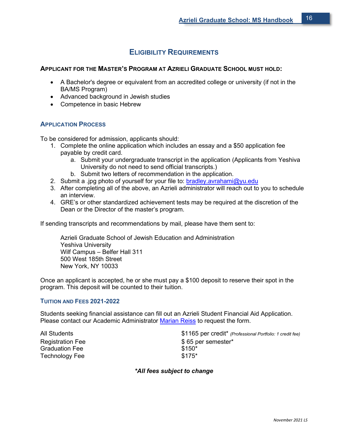## **ELIGIBILITY REQUIREMENTS**

#### **APPLICANT FOR THE MASTER'S PROGRAM AT AZRIELI GRADUATE SCHOOL MUST HOLD:**

- A Bachelor's degree or equivalent from an accredited college or university (if not in the BA/MS Program)
- Advanced background in Jewish studies
- Competence in basic Hebrew

#### **APPLICATION PROCESS**

To be considered for admission, applicants should:

- 1. Complete the online application which includes an essay and a \$50 application fee payable by credit card.
	- a. Submit your undergraduate transcript in the application (Applicants from Yeshiva University do not need to send official transcripts.)
	- b. Submit two letters of recommendation in the application.
- 2. Submit a .jpg photo of yourself for your file to: [bradley.avrahami@yu.edu](mailto:bradley.avrahami@yu.edu)
- 3. After completing all of the above, an Azrieli administrator will reach out to you to schedule an interview.
- 4. GRE's or other standardized achievement tests may be required at the discretion of the Dean or the Director of the master's program.

If sending transcripts and recommendations by mail, please have them sent to:

Azrieli Graduate School of Jewish Education and Administration Yeshiva University Wilf Campus – Belfer Hall 311 500 West 185th Street New York, NY 10033

Once an applicant is accepted, he or she must pay a \$100 deposit to reserve their spot in the program. This deposit will be counted to their tuition.

#### **TUITION AND FEES 2021-2022**

Students seeking financial assistance can fill out an Azrieli Student Financial Aid Application. Please contact our Academic Administrator [Marian Reiss](mailto:marian.reiss@yu.udu) to request the form.

Graduation Fee Technology Fee  $$175*$ 

All Students \$1165 per credit\* *(Professional Portfolio: 1 credit fee)* Registration Fee  $\$$  65 per semester\*<br>Graduation Fee  $\$$ 150\*

*\*All fees subject to change*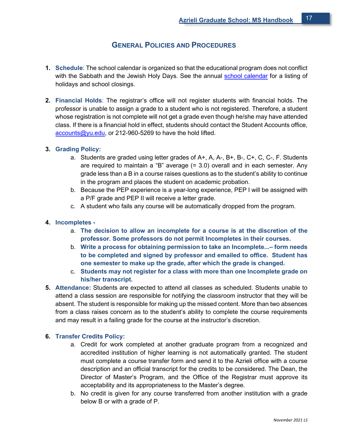## **GENERAL POLICIES AND PROCEDURES**

- **1. Schedule**: The school calendar is organized so that the educational program does not conflict with the Sabbath and the Jewish Holy Days. See the annual [school calendar](http://yu.edu/azrieli/calendar/) for a listing of holidays and school closings.
- **2. Financial Holds**: The registrar's office will not register students with financial holds. The professor is unable to assign a grade to a student who is not registered. Therefore, a student whose registration is not complete will not get a grade even though he/she may have attended class. If there is a financial hold in effect, students should contact the Student Accounts office, [accounts@yu.edu,](mailto:accounts@yu.edu) or 212-960-5269 to have the hold lifted.

#### **3. Grading Policy:**

- a. Students are graded using letter grades of A+, A, A-, B+, B-, C+, C, C-, F. Students are required to maintain a "B" average (= 3.0) overall and in each semester. Any grade less than a B in a course raises questions as to the student's ability to continue in the program and places the student on academic probation.
- b. Because the PEP experience is a year-long experience, PEP I will be assigned with a P/F grade and PEP II will receive a letter grade.
- c. A student who fails any course will be automatically dropped from the program.

#### **4. Incompletes -**

- a. **The decision to allow an incomplete for a course is at the discretion of the professor. Some professors do not permit Incompletes in their courses.**
- b. **Write a process for obtaining permission to take an Incomplete...– form needs to be completed and signed by professor and emailed to office. Student has one semester to make up the grade, after which the grade is changed.**
- c. **Students may not register for a class with more than one Incomplete grade on his/her transcript.**
- **5. Attendance:** Students are expected to attend all classes as scheduled. Students unable to attend a class session are responsible for notifying the classroom instructor that they will be absent. The student is responsible for making up the missed content. More than two absences from a class raises concern as to the student's ability to complete the course requirements and may result in a failing grade for the course at the instructor's discretion.

#### **6. Transfer Credits Policy:**

- a. Credit for work completed at another graduate program from a recognized and accredited institution of higher learning is not automatically granted. The student must complete a course transfer form and send it to the Azrieli office with a course description and an official transcript for the credits to be considered. The Dean, the Director of Master's Program, and the Office of the Registrar must approve its acceptability and its appropriateness to the Master's degree.
- b. No credit is given for any course transferred from another institution with a grade below B or with a grade of P.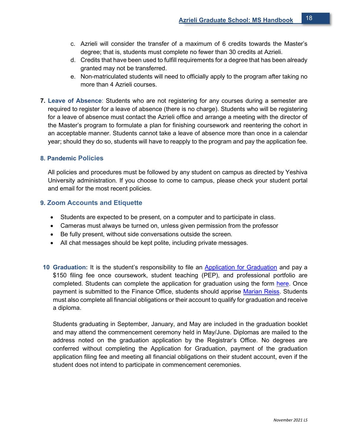- c. Azrieli will consider the transfer of a maximum of 6 credits towards the Master's degree; that is, students must complete no fewer than 30 credits at Azrieli.
- d. Credits that have been used to fulfill requirements for a degree that has been already granted may not be transferred.
- e. Non-matriculated students will need to officially apply to the program after taking no more than 4 Azrieli courses.
- **7. Leave of Absence**: Students who are not registering for any courses during a semester are required to register for a leave of absence (there is no charge). Students who will be registering for a leave of absence must contact the Azrieli office and arrange a meeting with the director of the Master's program to formulate a plan for finishing coursework and reentering the cohort in an acceptable manner. Students cannot take a leave of absence more than once in a calendar year; should they do so, students will have to reapply to the program and pay the application fee.

#### **8. Pandemic Policies**

All policies and procedures must be followed by any student on campus as directed by Yeshiva University administration. If you choose to come to campus, please check your student portal and email for the most recent policies.

#### **9. Zoom Accounts and Etiquette**

- Students are expected to be present, on a computer and to participate in class.
- Cameras must always be turned on, unless given permission from the professor
- Be fully present, without side conversations outside the screen.
- All chat messages should be kept polite, including private messages.
- **10 Graduation:** It is the student's responsibility to file an [Application for Graduation](https://www.yu.edu/sites/default/files/legacy/uploadedFiles/Academics/Graduate/Azrieli_Graduate_School/Degrees_and_Programs/Student_Resources/wilf_app_graduation.pdf) and pay a \$150 filing fee once coursework, student teaching (PEP), and professional portfolio are completed. Students can complete the application for graduation using the form [here.](https://www.yu.edu/sites/default/files/legacy/uploadedFiles/Academics/Graduate/Azrieli_Graduate_School/Degrees_and_Programs/Student_Resources/wilf_app_graduation.pdf) Once payment is submitted to the Finance Office, students should apprise [Marian Reiss.](mailto:marian.reiss@yu.edu) Students must also complete all financial obligations or their account to qualify for graduation and receive a diploma.

Students graduating in September, January, and May are included in the graduation booklet and may attend the commencement ceremony held in May/June. Diplomas are mailed to the address noted on the graduation application by the Registrar's Office. No degrees are conferred without completing the Application for Graduation, payment of the graduation application filing fee and meeting all financial obligations on their student account, even if the student does not intend to participate in commencement ceremonies.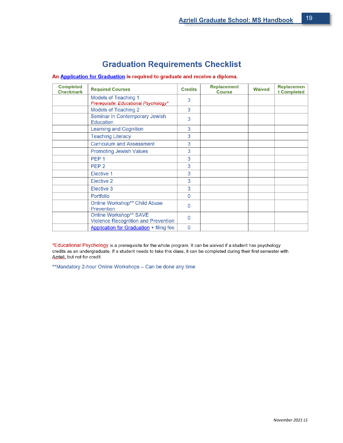## **Graduation Requirements Checklist**

|  | An Application for Graduation is required to graduate and receive a diploma. |  |  |  |
|--|------------------------------------------------------------------------------|--|--|--|
|  |                                                                              |  |  |  |

| <b>Completed</b><br><b>Checkmark</b> | <b>Required Courses</b>                                                     | <b>Credits</b> | <b>Replacement</b><br><b>Course</b> | <b>Waived</b> | <b>Replacemen</b><br>t Completed |
|--------------------------------------|-----------------------------------------------------------------------------|----------------|-------------------------------------|---------------|----------------------------------|
|                                      | <b>Models of Teaching 1</b><br>Prerequisite: Educational Psychology*        | 3              |                                     |               |                                  |
|                                      | Models of Teaching 2                                                        | 3              |                                     |               |                                  |
|                                      | Seminar in Contemporary Jewish<br><b>Education</b>                          | 3              |                                     |               |                                  |
|                                      | <b>Learning and Cognition</b>                                               | 3              |                                     |               |                                  |
|                                      | <b>Teaching Literacy</b>                                                    | 3              |                                     |               |                                  |
|                                      | <b>Curriculum and Assessment</b>                                            | 3              |                                     |               |                                  |
|                                      | <b>Promoting Jewish Values</b>                                              | 3              |                                     |               |                                  |
|                                      | PEP <sub>1</sub>                                                            | 3              |                                     |               |                                  |
|                                      | PEP <sub>2</sub>                                                            | 3              |                                     |               |                                  |
|                                      | Elective 1                                                                  | 3              |                                     |               |                                  |
|                                      | Elective 2                                                                  | 3              |                                     |               |                                  |
|                                      | Elective 3                                                                  | 3              |                                     |               |                                  |
|                                      | Portfolio                                                                   | 0              |                                     |               |                                  |
|                                      | <b>Online Workshop** Child Abuse</b><br>Prevention                          | 0              |                                     |               |                                  |
|                                      | <b>Online Workshop** SAVE</b><br><b>Violence Recognition and Prevention</b> | 0              |                                     |               |                                  |
|                                      | <b>Application for Graduation + filing fee</b>                              | $\Omega$       |                                     |               |                                  |

\*Educational Psychology is a prerequisite for the whole program. It can be waived if a student has psychology credits as an undergraduate. If a student needs to take this class, it can be completed during their first semester with Azrieli, but not for credit.

\*\*Mandatory 2-hour Online Workshops - Can be done any time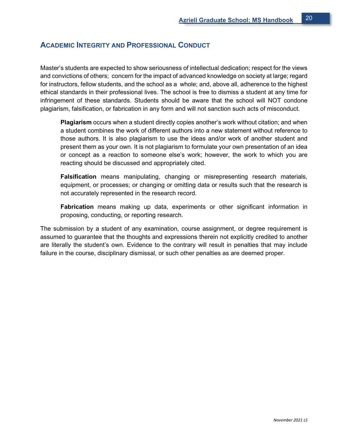## **ACADEMIC INTEGRITY AND PROFESSIONAL CONDUCT**

Master's students are expected to show seriousness of intellectual dedication; respect for the views and convictions of others; concern for the impact of advanced knowledge on society at large; regard for instructors, fellow students, and the school as a whole; and, above all, adherence to the highest ethical standards in their professional lives. The school is free to dismiss a student at any time for infringement of these standards. Students should be aware that the school will NOT condone plagiarism, falsification, or fabrication in any form and will not sanction such acts of misconduct.

**Plagiarism** occurs when a student directly copies another's work without citation; and when a student combines the work of different authors into a new statement without reference to those authors. It is also plagiarism to use the ideas and/or work of another student and present them as your own. It is not plagiarism to formulate your own presentation of an idea or concept as a reaction to someone else's work; however, the work to which you are reacting should be discussed and appropriately cited.

**Falsification** means manipulating, changing or misrepresenting research materials, equipment, or processes; or changing or omitting data or results such that the research is not accurately represented in the research record.

**Fabrication** means making up data, experiments or other significant information in proposing, conducting, or reporting research.

The submission by a student of any examination, course assignment, or degree requirement is assumed to guarantee that the thoughts and expressions therein not explicitly credited to another are literally the student's own. Evidence to the contrary will result in penalties that may include failure in the course, disciplinary dismissal, or such other penalties as are deemed proper.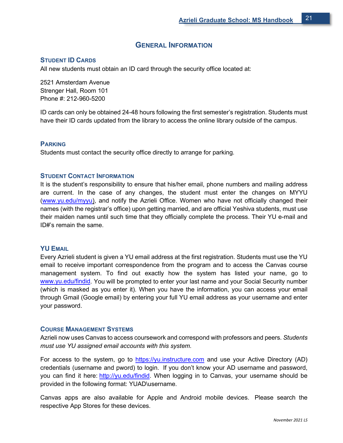## **GENERAL INFORMATION**

#### **STUDENT ID CARDS**

All new students must obtain an ID card through the security office located at:

2521 Amsterdam Avenue Strenger Hall, Room 101 Phone #: 212-960-5200

ID cards can only be obtained 24-48 hours following the first semester's registration. Students must have their ID cards updated from the library to access the online library outside of the campus.

#### **PARKING**

Students must contact the security office directly to arrange for parking.

#### **STUDENT CONTACT INFORMATION**

It is the student's responsibility to ensure that his/her email, phone numbers and mailing address are current. In the case of any changes, the student must enter the changes on MYYU [\(www.yu.edu/myyu\)](http://www.yu.edu/myyu), and notify the Azrieli Office. Women who have not officially changed their names (with the registrar's office) upon getting married, and are official Yeshiva students, must use their maiden names until such time that they officially complete the process. Their YU e-mail and ID#'s remain the same.

#### **YU EMAIL**

Every Azrieli student is given a YU email address at the first registration. Students must use the YU email to receive important correspondence from the program and to access the Canvas course management system. To find out exactly how the system has listed your name, go to [www.yu.edu/findid.](http://www.yu.edu/findid) You will be prompted to enter your last name and your Social Security number (which is masked as you enter it). When you have the information, you can access your email through Gmail (Google email) by entering your full YU email address as your username and enter your password.

#### **COURSE MANAGEMENT SYSTEMS**

Azrieli now uses Canvas to access coursework and correspond with professors and peers. *Students must use YU assigned email accounts with this system.* 

For access to the system, go to [https://yu.instructure.com](https://yu.instructure.com/) and use your Active Directory (AD) credentials (username and pword) to login. If you don't know your AD username and password, you can find it here: [http://yu.edu/findid.](http://yu.edu/findid) When logging in to Canvas, your username should be provided in the following format: YUAD\username.

Canvas apps are also available for Apple and Android mobile devices. Please search the respective App Stores for these devices.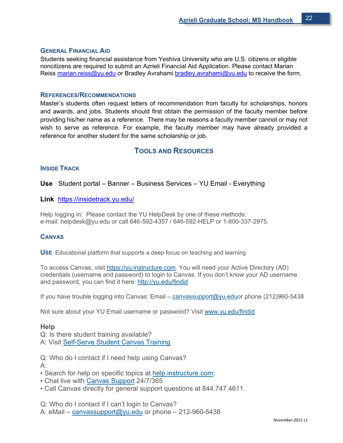#### **GENERAL FINANCIAL AID**

Students seeking financial assistance from Yeshiva University who are U.S. citizens or eligible noncitizens are required to submit an Azrieli Financial Aid Application. Please contact Marian Reiss [marian.reiss@yu.edu](mailto:marian.reiss@yu.edu) or Bradley Avrahami [bradley.avrahami@yu.edu](mailto:bradley.avrahami@yu.edu) to receive the form.

## **REFERENCES/RECOMMENDATIONS**

Master's students often request letters of recommendation from faculty for scholarships, honors and awards, and jobs. Students should first obtain the permission of the faculty member before providing his/her name as a reference. There may be reasons a faculty member cannot or may not wish to serve as reference. For example, the faculty member may have already provided a reference for another student for the same scholarship or job.

## **TOOLS AND RESOURCES**

#### **INSIDE TRACK**

#### **Use** Student portal – Banner – Business Services – YU Email - Everything

#### **Link** <https://insidetrack.yu.edu/>

Help logging in: Please contact the YU HelpDesk by one of these methods: e-mail: helpdesk@yu.edu or call 646-592-4357 / 646-592-HELP or 1-800-337-2975.

#### **CANVAS**

**USE** Educational platform that supports a deep focus on teaching and learning

To access Canvas, visit [https://yu.instructure.com.](https://yu.instructure.com/) You will need your Active Directory (AD) credentials (username and password) to login to Canvas. If you don't know your AD username and password, you can find it here: [http://yu.edu/findid](https://www.yu.edu/findid)

If you have trouble logging into Canvas: Email – [canvassupport@yu.eduo](mailto:canvassupport@yu.edu)r phone (212)960-5438

Not sure about your YU Email username or password? Visit [www.yu.edu/findid.](https://www.yu.edu/findid)

#### **Help**

Q: Is there student training available? A: Visit [Self-Serve Student Canvas Training](https://yu.instructure.com/courses/5103/)

Q: Who do I contact if I need help using Canvas?  $A$ :

- Search for help on specific topics at [help.instructure.com;](http://help.instructure.com/)
- Chat live with [Canvas Support](https://secure.livechatinc.com/licence/2695732/open_chat.cgi?groups=46) 24/7/365
- Call Canvas directly for general support questions at 844.747.4611.

Q: Who do I contact if I can't login to Canvas? A: eMail – [canvassupport@yu.edu](mailto:canvassupport@yu.edu?subject=Student%20Canvas%20Support) or phone – 212-960-5438